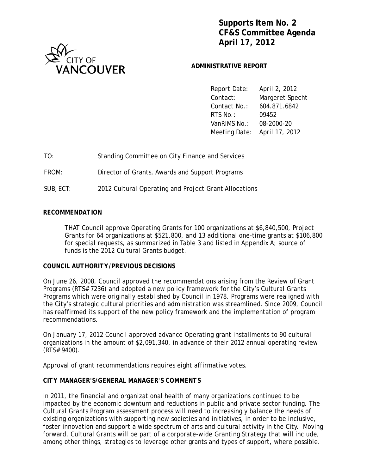



### **ADMINISTRATIVE REPORT**

 Report Date: April 2, 2012 Contact: Margeret Specht Contact No.: 604.871.6842 RTS No.: 09452 VanRIMS No.: 08-2000-20 Meeting Date: April 17, 2012

TO: Standing Committee on City Finance and Services

FROM: Director of Grants, Awards and Support Programs

SUBJECT: 2012 Cultural Operating and Project Grant Allocations

### *RECOMMENDATION*

THAT Council approve Operating Grants for 100 organizations at \$6,840,500, Project Grants for 64 organizations at \$521,800, and 13 additional one-time grants at \$106,800 for special requests, as summarized in Table 3 and listed in Appendix A; source of funds is the 2012 Cultural Grants budget.

### *COUNCIL AUTHORITY/PREVIOUS DECISIONS*

On June 26, 2008, Council approved the recommendations arising from the Review of Grant Programs (RTS# 7236) and adopted a new policy framework for the City's Cultural Grants Programs which were originally established by Council in 1978. Programs were realigned with the City's strategic cultural priorities and administration was streamlined. Since 2009, Council has reaffirmed its support of the new policy framework and the implementation of program recommendations.

On January 17, 2012 Council approved advance Operating grant installments to 90 cultural organizations in the amount of \$2,091,340, in advance of their 2012 annual operating review (RTS# 9400).

Approval of grant recommendations requires eight affirmative votes.

### *CITY MANAGER'S/GENERAL MANAGER'S COMMENTS*

In 2011, the financial and organizational health of many organizations continued to be impacted by the economic downturn and reductions in public and private sector funding. The Cultural Grants Program assessment process will need to increasingly balance the needs of existing organizations with supporting new societies and initiatives, in order to be inclusive, foster innovation and support a wide spectrum of arts and cultural activity in the City. Moving forward, Cultural Grants will be part of a corporate-wide Granting Strategy that will include, among other things, strategies to leverage other grants and types of support, where possible.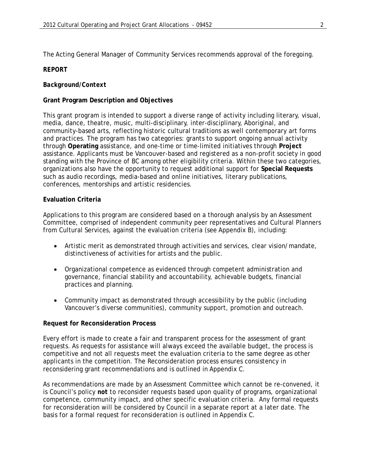The Acting General Manager of Community Services recommends approval of the foregoing.

### *REPORT*

### *Background/Context*

### **Grant Program Description and Objectives**

This grant program is intended to support a diverse range of activity including literary, visual, media, dance, theatre, music, multi-disciplinary, inter-disciplinary, Aboriginal, and community-based arts, reflecting historic cultural traditions as well contemporary art forms and practices. The program has two categories: grants to support ongoing annual activity through **Operating** assistance, and one-time or time-limited initiatives through **Project** assistance. Applicants must be Vancouver-based and registered as a non-profit society in good standing with the Province of BC among other eligibility criteria. Within these two categories, organizations also have the opportunity to request additional support for **Special Requests** such as audio recordings, media-based and online initiatives, literary publications, conferences, mentorships and artistic residencies.

### **Evaluation Criteria**

Applications to this program are considered based on a thorough analysis by an Assessment Committee, comprised of independent community peer representatives and Cultural Planners from Cultural Services, against the evaluation criteria (see Appendix B), including:

- Artistic merit as demonstrated through activities and services, clear vision/mandate, distinctiveness of activities for artists and the public.
- Organizational competence as evidenced through competent administration and governance, financial stability and accountability, achievable budgets, financial practices and planning.
- Community impact as demonstrated through accessibility by the public (including Vancouver's diverse communities), community support, promotion and outreach.

### **Request for Reconsideration Process**

Every effort is made to create a fair and transparent process for the assessment of grant requests. As requests for assistance will always exceed the available budget, the process is competitive and not all requests meet the evaluation criteria to the same degree as other applicants in the competition. The Reconsideration process ensures consistency in reconsidering grant recommendations and is outlined in Appendix C.

As recommendations are made by an Assessment Committee which cannot be re-convened, it is Council's policy *not* to reconsider requests based upon quality of programs, organizational competence, community impact, and other specific evaluation criteria. Any formal requests for reconsideration will be considered by Council in a separate report at a later date. The basis for a formal request for reconsideration is outlined in Appendix C.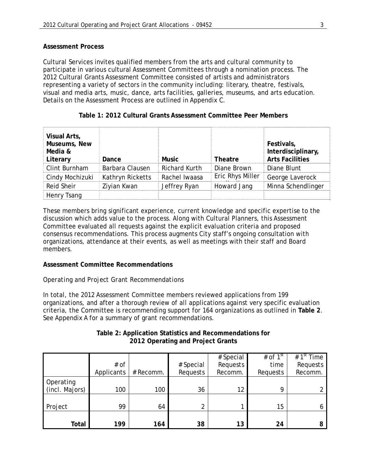### **Assessment Process**

Cultural Services invites qualified members from the arts and cultural community to participate in various cultural Assessment Committees through a nomination process. The 2012 Cultural Grants Assessment Committee consisted of artists and administrators representing a variety of sectors in the community including: literary, theatre, festivals, visual and media arts, music, dance, arts facilities, galleries, museums, and arts education. Details on the Assessment Process are outlined in Appendix C.

|  |  | Table 1: 2012 Cultural Grants Assessment Committee Peer Members |  |  |
|--|--|-----------------------------------------------------------------|--|--|
|--|--|-----------------------------------------------------------------|--|--|

| Visual Arts,<br>Museums, New<br>Media &<br>Literary | Dance            | <b>Music</b>         | <b>Theatre</b>   | Festivals,<br>Interdisciplinary,<br><b>Arts Facilities</b> |
|-----------------------------------------------------|------------------|----------------------|------------------|------------------------------------------------------------|
| Clint Burnham                                       | Barbara Clausen  | <b>Richard Kurth</b> | Diane Brown      | Diane Blunt                                                |
| Cindy Mochizuki                                     | Kathryn Ricketts | Rachel Iwaasa        | Eric Rhys Miller | George Laverock                                            |
| <b>Reid Sheir</b>                                   | Ziyian Kwan      | Jeffrey Ryan         | Howard Jang      | Minna Schendlinger                                         |
| Henry Tsang                                         |                  |                      |                  |                                                            |

These members bring significant experience, current knowledge and specific expertise to the discussion which adds value to the process. Along with Cultural Planners, this Assessment Committee evaluated all requests against the explicit evaluation criteria and proposed consensus recommendations. This process augments City staff's ongoing consultation with organizations, attendance at their events, as well as meetings with their staff and Board members.

### **Assessment Committee Recommendations**

### *Operating and Project Grant Recommendations*

In total, the 2012 Assessment Committee members reviewed applications from 199 organizations, and after a thorough review of all applications against very specific evaluation criteria, the Committee is recommending support for 164 organizations as outlined in **Table 2**. See Appendix A for a summary of grant recommendations.

|                |            |           |                | # Special | # of $1st$ | # $1st$ Time |
|----------------|------------|-----------|----------------|-----------|------------|--------------|
|                | $#$ of     |           | # Special      | Requests  | time       | Requests     |
|                | Applicants | # Recomm. | Requests       | Recomm.   | Requests   | Recomm.      |
| Operating      |            |           |                |           |            |              |
| (incl. Majors) | 100        | 100       | 36             | 12        | o          |              |
|                |            |           |                |           |            |              |
| Project        | 99         | 64        | $\overline{2}$ |           | 15         |              |
|                |            |           |                |           |            |              |
| Total          | 199        | 164       | 38             | 13        | 24         |              |

### **Table 2: Application Statistics and Recommendations for 2012 Operating and Project Grants**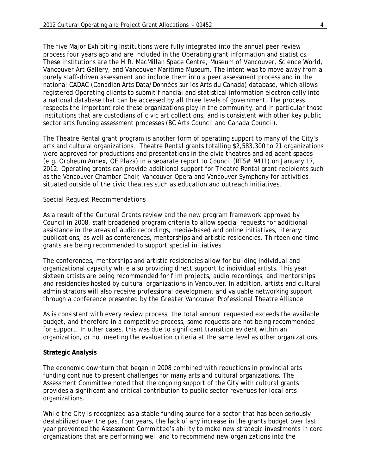The five Major Exhibiting Institutions were fully integrated into the annual peer review process four years ago and are included in the Operating grant information and statistics. These institutions are the H.R. MacMillan Space Centre, Museum of Vancouver, Science World, Vancouver Art Gallery, and Vancouver Maritime Museum. The intent was to move away from a purely staff-driven assessment and include them into a peer assessment process and in the national CADAC (Canadian Arts Data/Données sur les Arts du Canada) database, which allows registered Operating clients to submit financial and statistical information electronically into a national database that can be accessed by all three levels of government. The process respects the important role these organizations play in the community, and in particular those institutions that are custodians of civic art collections, and is consistent with other key public sector arts funding assessment processes (BC Arts Council and Canada Council).

The Theatre Rental grant program is another form of operating support to many of the City's arts and cultural organizations. Theatre Rental grants totalling \$2,583,300 to 21 organizations were approved for productions and presentations in the civic theatres and adjacent spaces (e.g. Orpheum Annex, QE Plaza) in a separate report to Council (RTS# 9411) on January 17, 2012. Operating grants can provide additional support for Theatre Rental grant recipients such as the Vancouver Chamber Choir, Vancouver Opera and Vancouver Symphony for activities situated outside of the civic theatres such as education and outreach initiatives.

#### *Special Request Recommendations*

As a result of the Cultural Grants review and the new program framework approved by Council in 2008, staff broadened program criteria to allow special requests for additional assistance in the areas of audio recordings, media-based and online initiatives, literary publications, as well as conferences, mentorships and artistic residencies. Thirteen one-time grants are being recommended to support special initiatives.

The conferences, mentorships and artistic residencies allow for building individual and organizational capacity while also providing direct support to individual artists. This year sixteen artists are being recommended for film projects, audio recordings, and mentorships and residencies hosted by cultural organizations in Vancouver. In addition, artists and cultural administrators will also receive professional development and valuable networking support through a conference presented by the Greater Vancouver Professional Theatre Alliance.

As is consistent with every review process, the total amount requested exceeds the available budget, and therefore in a competitive process, some requests are not being recommended for support. In other cases, this was due to significant transition evident within an organization, or not meeting the evaluation criteria at the same level as other organizations.

#### **Strategic Analysis**

The economic downturn that began in 2008 combined with reductions in provincial arts funding continue to present challenges for many arts and cultural organizations. The Assessment Committee noted that the ongoing support of the City with cultural grants provides a significant and critical contribution to public sector revenues for local arts organizations.

While the City is recognized as a stable funding source for a sector that has been seriously destabilized over the past four years, the lack of any increase in the grants budget over last year prevented the Assessment Committee's ability to make new strategic investments in core organizations that are performing well and to recommend new organizations into the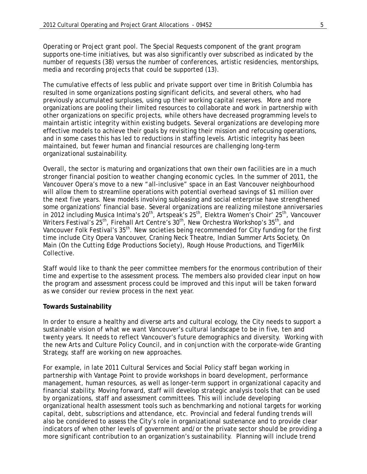Operating or Project grant pool. The Special Requests component of the grant program supports one-time initiatives, but was also significantly over subscribed as indicated by the number of requests (38) versus the number of conferences, artistic residencies, mentorships, media and recording projects that could be supported (13).

The cumulative effects of less public and private support over time in British Columbia has resulted in some organizations posting significant deficits, and several others, who had previously accumulated surpluses, using up their working capital reserves. More and more organizations are pooling their limited resources to collaborate and work in partnership with other organizations on specific projects, while others have decreased programming levels to maintain artistic integrity within existing budgets. Several organizations are developing more effective models to achieve their goals by revisiting their mission and refocusing operations, and in some cases this has led to reductions in staffing levels. Artistic integrity has been maintained, but fewer human and financial resources are challenging long-term organizational sustainability.

Overall, the sector is maturing and organizations that own their own facilities are in a much stronger financial position to weather changing economic cycles. In the summer of 2011, the Vancouver Opera's move to a new "all-inclusive" space in an East Vancouver neighbourhood will allow them to streamline operations with potential overhead savings of \$1 million over the next five years. New models involving subleasing and social enterprise have strengthened some organizations' financial base. Several organizations are realizing milestone anniversaries in 2012 including Musica Intima's 20<sup>th</sup>, Artspeak's 25<sup>th</sup>, Elektra Women's Choir' 25<sup>th</sup>, Vancouver Writers Festival's 25<sup>th</sup>, Firehall Art Centre's 30<sup>th</sup>, New Orchestra Workshop's 35<sup>th</sup>, and Vancouver Folk Festival's 35<sup>th</sup>. New societies being recommended for City funding for the first time include City Opera Vancouver, Craning Neck Theatre, Indian Summer Arts Society, On Main (On the Cutting Edge Productions Society), Rough House Productions, and TigerMilk Collective.

Staff would like to thank the peer committee members for the enormous contribution of their time and expertise to the assessment process. The members also provided clear input on how the program and assessment process could be improved and this input will be taken forward as we consider our review process in the next year.

### **Towards Sustainability**

In order to ensure a healthy and diverse arts and cultural ecology, the City needs to support a sustainable vision of what we want Vancouver's cultural landscape to be in five, ten and twenty years. It needs to reflect Vancouver's future demographics and diversity. Working with the new Arts and Culture Policy Council, and in conjunction with the corporate-wide Granting Strategy, staff are working on new approaches.

For example, in late 2011 Cultural Services and Social Policy staff began working in partnership with Vantage Point to provide workshops in board development, performance management, human resources, as well as longer-term support in organizational capacity and financial stability. Moving forward, staff will develop strategic analysis tools that can be used by organizations, staff and assessment committees. This will include developing organizational health assessment tools such as benchmarking and notional targets for working capital, debt, subscriptions and attendance, etc. Provincial and federal funding trends will also be considered to assess the City's role in organizational sustenance and to provide clear indicators of when other levels of government and/or the private sector should be providing a more significant contribution to an organization's sustainability. Planning will include trend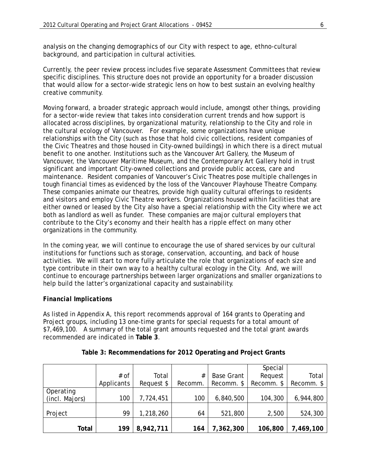analysis on the changing demographics of our City with respect to age, ethno-cultural background, and participation in cultural activities.

Currently, the peer review process includes five separate Assessment Committees that review specific disciplines. This structure does not provide an opportunity for a broader discussion that would allow for a sector-wide strategic lens on how to best sustain an evolving healthy creative community.

Moving forward, a broader strategic approach would include, amongst other things, providing for a sector-wide review that takes into consideration current trends and how support is allocated across disciplines, by organizational maturity, relationship to the City and role in the cultural ecology of Vancouver. For example, some organizations have unique relationships with the City (such as those that hold civic collections, resident companies of the Civic Theatres and those housed in City-owned buildings) in which there is a direct mutual benefit to one another. Institutions such as the Vancouver Art Gallery, the Museum of Vancouver, the Vancouver Maritime Museum, and the Contemporary Art Gallery hold in trust significant and important City-owned collections and provide public access, care and maintenance. Resident companies of Vancouver's Civic Theatres pose multiple challenges in tough financial times as evidenced by the loss of the Vancouver Playhouse Theatre Company. These companies animate our theatres, provide high quality cultural offerings to residents and visitors and employ Civic Theatre workers. Organizations housed within facilities that are either owned or leased by the City also have a special relationship with the City where we act both as landlord as well as funder. These companies are major cultural employers that contribute to the City's economy and their health has a ripple effect on many other organizations in the community.

In the coming year, we will continue to encourage the use of shared services by our cultural institutions for functions such as storage, conservation, accounting, and back of house activities. We will start to more fully articulate the role that organizations of each size and type contribute in their own way to a healthy cultural ecology in the City. And, we will continue to encourage partnerships between larger organizations and smaller organizations to help build the latter's organizational capacity and sustainability.

### *Financial Implications*

As listed in Appendix A, this report recommends approval of 164 grants to Operating and Project groups, including 13 one-time grants for special requests for a total amount of \$7,469,100. A summary of the total grant amounts requested and the total grant awards recommended are indicated in **Table 3**.

|                |            |            |         |                   | Special    |            |
|----------------|------------|------------|---------|-------------------|------------|------------|
|                | $#$ of     | Total      | #       | <b>Base Grant</b> | Request    | Total      |
|                | Applicants | Request \$ | Recomm. | Recomm. \$        | Recomm. \$ | Recomm. \$ |
| Operating      |            |            |         |                   |            |            |
| (incl. Majors) | 100        | 7,724,451  | 100     | 6,840,500         | 104,300    | 6,944,800  |
|                |            |            |         |                   |            |            |
| Project        | 99         | 1,218,260  | 64      | 521,800           | 2,500      | 524,300    |
|                |            |            |         |                   |            |            |
| Total          | 199        | 8,942,711  | 164     | 7,362,300         | 106,800    | 7,469,100  |

### **Table 3: Recommendations for 2012 Operating and Project Grants**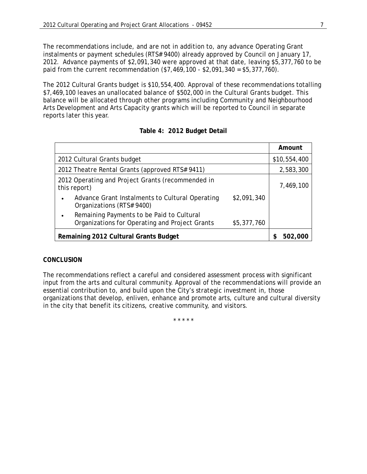The recommendations include, and are not in addition to, any advance Operating Grant instalments or payment schedules (RTS# 9400) already approved by Council on January 17, 2012. Advance payments of \$2,091,340 were approved at that date, leaving \$5,377,760 to be paid from the current recommendation (\$7,469,100 - \$2,091,340 = \$5,377,760).

The 2012 Cultural Grants budget is \$10,554,400. Approval of these recommendations totalling \$7,469,100 leaves an unallocated balance of \$502,000 in the Cultural Grants budget. This balance will be allocated through other programs including Community and Neighbourhood Arts Development and Arts Capacity grants which will be reported to Council in separate reports later this year.

|                                                                                                            | Amount       |
|------------------------------------------------------------------------------------------------------------|--------------|
| 2012 Cultural Grants budget                                                                                | \$10,554,400 |
| 2012 Theatre Rental Grants (approved RTS# 9411)                                                            | 2,583,300    |
| 2012 Operating and Project Grants (recommended in<br>this report)                                          | 7,469,100    |
| Advance Grant Instalments to Cultural Operating<br>\$2,091,340<br>٠<br>Organizations (RTS# 9400)           |              |
| Remaining Payments to be Paid to Cultural<br>Organizations for Operating and Project Grants<br>\$5,377,760 |              |
| Remaining 2012 Cultural Grants Budget                                                                      | 502,000      |

### **Table 4: 2012 Budget Detail**

# *CONCLUSION*

The recommendations reflect a careful and considered assessment process with significant input from the arts and cultural community. Approval of the recommendations will provide an essential contribution to, and build upon the City's strategic investment in, those organizations that develop, enliven, enhance and promote arts, culture and cultural diversity in the city that benefit its citizens, creative community, and visitors.

\* \* \* \* \*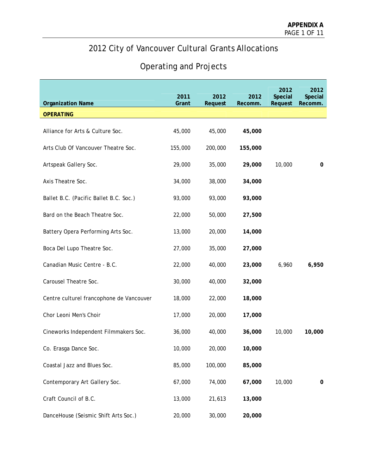# 2012 City of Vancouver Cultural Grants Allocations

# Operating and Projects

| <b>Organization Name</b>                 | 2011<br>Grant | 2012<br>Request | 2012<br>Recomm. | 2012<br>Special<br>Request | 2012<br>Special<br>Recomm. |
|------------------------------------------|---------------|-----------------|-----------------|----------------------------|----------------------------|
| <b>OPERATING</b>                         |               |                 |                 |                            |                            |
| Alliance for Arts & Culture Soc.         | 45,000        | 45,000          | 45,000          |                            |                            |
| Arts Club Of Vancouver Theatre Soc.      | 155,000       | 200,000         | 155,000         |                            |                            |
| Artspeak Gallery Soc.                    | 29,000        | 35,000          | 29,000          | 10,000                     | 0                          |
| Axis Theatre Soc.                        | 34,000        | 38,000          | 34,000          |                            |                            |
| Ballet B.C. (Pacific Ballet B.C. Soc.)   | 93,000        | 93,000          | 93,000          |                            |                            |
| Bard on the Beach Theatre Soc.           | 22,000        | 50,000          | 27,500          |                            |                            |
| Battery Opera Performing Arts Soc.       | 13,000        | 20,000          | 14,000          |                            |                            |
| Boca Del Lupo Theatre Soc.               | 27,000        | 35,000          | 27,000          |                            |                            |
| Canadian Music Centre - B.C.             | 22,000        | 40,000          | 23,000          | 6,960                      | 6,950                      |
| Carousel Theatre Soc.                    | 30,000        | 40,000          | 32,000          |                            |                            |
| Centre culturel francophone de Vancouver | 18,000        | 22,000          | 18,000          |                            |                            |
| Chor Leoni Men's Choir                   | 17,000        | 20,000          | 17,000          |                            |                            |
| Cineworks Independent Filmmakers Soc.    | 36,000        | 40,000          | 36,000          | 10,000                     | 10,000                     |
| Co. Erasga Dance Soc.                    | 10,000        | 20,000          | 10,000          |                            |                            |
| Coastal Jazz and Blues Soc.              | 85,000        | 100,000         | 85,000          |                            |                            |
| Contemporary Art Gallery Soc.            | 67,000        | 74,000          | 67,000          | 10,000                     | $\mathbf 0$                |
| Craft Council of B.C.                    | 13,000        | 21,613          | 13,000          |                            |                            |
| DanceHouse (Seismic Shift Arts Soc.)     | 20,000        | 30,000          | 20,000          |                            |                            |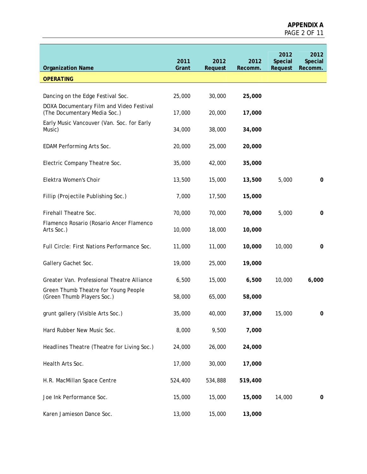| <b>Organization Name</b>                                                 | 2011<br>Grant | 2012<br>Request | 2012<br>Recomm. | 2012<br>Special<br>Request | 2012<br>Special<br>Recomm. |
|--------------------------------------------------------------------------|---------------|-----------------|-----------------|----------------------------|----------------------------|
| <b>OPERATING</b>                                                         |               |                 |                 |                            |                            |
|                                                                          |               |                 |                 |                            |                            |
| Dancing on the Edge Festival Soc.                                        | 25,000        | 30,000          | 25,000          |                            |                            |
| DOXA Documentary Film and Video Festival<br>(The Documentary Media Soc.) | 17,000        | 20,000          | 17,000          |                            |                            |
| Early Music Vancouver (Van. Soc. for Early<br>Music)                     | 34,000        | 38,000          | 34,000          |                            |                            |
| EDAM Performing Arts Soc.                                                | 20,000        | 25,000          | 20,000          |                            |                            |
| Electric Company Theatre Soc.                                            | 35,000        | 42,000          | 35,000          |                            |                            |
| Elektra Women's Choir                                                    | 13,500        | 15,000          | 13,500          | 5,000                      | 0                          |
| Fillip (Projectile Publishing Soc.)                                      | 7,000         | 17,500          | 15,000          |                            |                            |
| Firehall Theatre Soc.                                                    | 70,000        | 70,000          | 70,000          | 5,000                      | 0                          |
| Flamenco Rosario (Rosario Ancer Flamenco<br>Arts Soc.)                   | 10,000        | 18,000          | 10,000          |                            |                            |
| Full Circle: First Nations Performance Soc.                              | 11,000        | 11,000          | 10,000          | 10,000                     | 0                          |
| Gallery Gachet Soc.                                                      | 19,000        | 25,000          | 19,000          |                            |                            |
| Greater Van. Professional Theatre Alliance                               | 6,500         | 15,000          | 6,500           | 10,000                     | 6,000                      |
| Green Thumb Theatre for Young People<br>(Green Thumb Players Soc.)       | 58,000        | 65,000          | 58,000          |                            |                            |
| grunt gallery (Visible Arts Soc.)                                        | 35,000        | 40,000          | 37,000          | 15,000                     | 0                          |
| Hard Rubber New Music Soc.                                               | 8,000         | 9,500           | 7,000           |                            |                            |
| Headlines Theatre (Theatre for Living Soc.)                              | 24,000        | 26,000          | 24,000          |                            |                            |
| Health Arts Soc.                                                         | 17,000        | 30,000          | 17,000          |                            |                            |
| H.R. MacMillan Space Centre                                              | 524,400       | 534,888         | 519,400         |                            |                            |
| Joe Ink Performance Soc.                                                 | 15,000        | 15,000          | 15,000          | 14,000                     | 0                          |
| Karen Jamieson Dance Soc.                                                | 13,000        | 15,000          | 13,000          |                            |                            |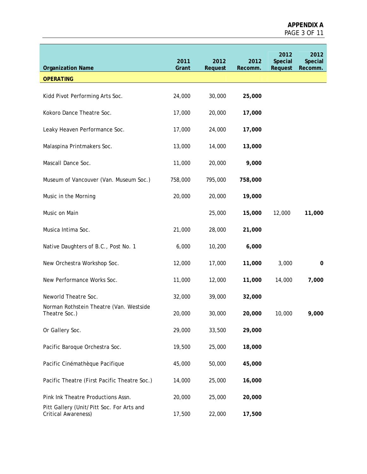| <b>Organization Name</b>                                         | 2011<br>Grant | 2012<br>Request | 2012<br>Recomm. | 2012<br>Special<br>Request | 2012<br>Special<br>Recomm. |
|------------------------------------------------------------------|---------------|-----------------|-----------------|----------------------------|----------------------------|
| <b>OPERATING</b>                                                 |               |                 |                 |                            |                            |
|                                                                  |               |                 |                 |                            |                            |
| Kidd Pivot Performing Arts Soc.                                  | 24,000        | 30,000          | 25,000          |                            |                            |
| Kokoro Dance Theatre Soc.                                        | 17,000        | 20,000          | 17,000          |                            |                            |
| Leaky Heaven Performance Soc.                                    | 17,000        | 24,000          | 17,000          |                            |                            |
| Malaspina Printmakers Soc.                                       | 13,000        | 14,000          | 13,000          |                            |                            |
| Mascall Dance Soc.                                               | 11,000        | 20,000          | 9,000           |                            |                            |
| Museum of Vancouver (Van. Museum Soc.)                           | 758,000       | 795,000         | 758,000         |                            |                            |
| Music in the Morning                                             | 20,000        | 20,000          | 19,000          |                            |                            |
| Music on Main                                                    |               | 25,000          | 15,000          | 12,000                     | 11,000                     |
| Musica Intima Soc.                                               | 21,000        | 28,000          | 21,000          |                            |                            |
| Native Daughters of B.C., Post No. 1                             | 6,000         | 10,200          | 6,000           |                            |                            |
| New Orchestra Workshop Soc.                                      | 12,000        | 17,000          | 11,000          | 3,000                      | 0                          |
| New Performance Works Soc.                                       | 11,000        | 12,000          | 11,000          | 14,000                     | 7,000                      |
| Neworld Theatre Soc.                                             | 32,000        | 39,000          | 32,000          |                            |                            |
| Norman Rothstein Theatre (Van. Westside<br>Theatre Soc.)         | 20,000        | 30,000          | 20,000          | 10,000                     | 9,000                      |
| Or Gallery Soc.                                                  | 29,000        | 33,500          | 29,000          |                            |                            |
| Pacific Baroque Orchestra Soc.                                   | 19,500        | 25,000          | 18,000          |                            |                            |
| Pacific Cinémathèque Pacifique                                   | 45,000        | 50,000          | 45,000          |                            |                            |
| Pacific Theatre (First Pacific Theatre Soc.)                     | 14,000        | 25,000          | 16,000          |                            |                            |
| Pink Ink Theatre Productions Assn.                               | 20,000        | 25,000          | 20,000          |                            |                            |
| Pitt Gallery (Unit/Pitt Soc. For Arts and<br>Critical Awareness) | 17,500        | 22,000          | 17,500          |                            |                            |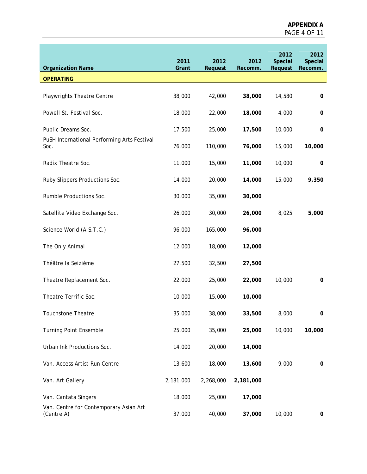| <b>Organization Name</b>                             | 2011<br>Grant | 2012<br>Request | 2012<br>Recomm. | 2012<br>Special<br>Request | 2012<br>Special<br>Recomm. |
|------------------------------------------------------|---------------|-----------------|-----------------|----------------------------|----------------------------|
| <b>OPERATING</b>                                     |               |                 |                 |                            |                            |
| <b>Playwrights Theatre Centre</b>                    | 38,000        | 42,000          | 38,000          | 14,580                     | 0                          |
| Powell St. Festival Soc.                             | 18,000        | 22,000          | 18,000          | 4,000                      | 0                          |
| Public Dreams Soc.                                   | 17,500        | 25,000          | 17,500          | 10,000                     | 0                          |
| PuSH International Performing Arts Festival<br>Soc.  | 76,000        | 110,000         | 76,000          | 15,000                     | 10,000                     |
| Radix Theatre Soc.                                   | 11,000        | 15,000          | 11,000          | 10,000                     | 0                          |
| Ruby Slippers Productions Soc.                       | 14,000        | 20,000          | 14,000          | 15,000                     | 9,350                      |
| Rumble Productions Soc.                              | 30,000        | 35,000          | 30,000          |                            |                            |
| Satellite Video Exchange Soc.                        | 26,000        | 30,000          | 26,000          | 8,025                      | 5,000                      |
| Science World (A.S.T.C.)                             | 96,000        | 165,000         | 96,000          |                            |                            |
| The Only Animal                                      | 12,000        | 18,000          | 12,000          |                            |                            |
| Théâtre la Seizième                                  | 27,500        | 32,500          | 27,500          |                            |                            |
| Theatre Replacement Soc.                             | 22,000        | 25,000          | 22,000          | 10,000                     | 0                          |
| Theatre Terrific Soc.                                | 10,000        | 15,000          | 10,000          |                            |                            |
| Touchstone Theatre                                   | 35,000        | 38,000          | 33,500          | 8,000                      |                            |
| <b>Turning Point Ensemble</b>                        | 25,000        | 35,000          | 25,000          | 10,000                     | 10,000                     |
| Urban Ink Productions Soc.                           | 14,000        | 20,000          | 14,000          |                            |                            |
| Van. Access Artist Run Centre                        | 13,600        | 18,000          | 13,600          | 9,000                      | 0                          |
| Van. Art Gallery                                     | 2,181,000     | 2,268,000       | 2,181,000       |                            |                            |
| Van. Cantata Singers                                 | 18,000        | 25,000          | 17,000          |                            |                            |
| Van. Centre for Contemporary Asian Art<br>(Centre A) | 37,000        | 40,000          | 37,000          | 10,000                     | 0                          |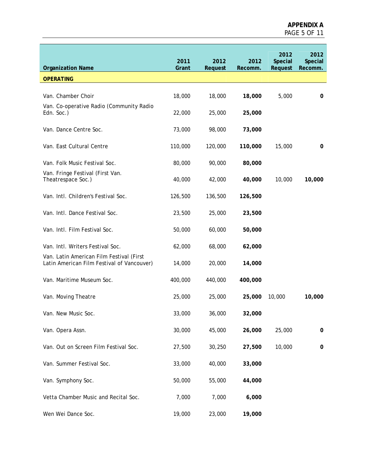| <b>Organization Name</b>                                                               | 2011<br>Grant | 2012<br>Request | 2012<br>Recomm. | 2012<br><b>Special</b><br>Request | 2012<br>Special<br>Recomm. |
|----------------------------------------------------------------------------------------|---------------|-----------------|-----------------|-----------------------------------|----------------------------|
| <b>OPERATING</b>                                                                       |               |                 |                 |                                   |                            |
|                                                                                        |               |                 |                 |                                   |                            |
| Van. Chamber Choir                                                                     | 18,000        | 18,000          | 18,000          | 5,000                             | 0                          |
| Van. Co-operative Radio (Community Radio<br>Edn. Soc.)                                 | 22,000        | 25,000          | 25,000          |                                   |                            |
| Van. Dance Centre Soc.                                                                 | 73,000        | 98,000          | 73,000          |                                   |                            |
| Van. East Cultural Centre                                                              | 110,000       | 120,000         | 110,000         | 15,000                            | 0                          |
| Van. Folk Music Festival Soc.                                                          | 80,000        | 90,000          | 80,000          |                                   |                            |
| Van. Fringe Festival (First Van.<br>Theatrespace Soc.)                                 | 40,000        | 42,000          | 40,000          | 10,000                            | 10,000                     |
| Van. Intl. Children's Festival Soc.                                                    | 126,500       | 136,500         | 126,500         |                                   |                            |
| Van. Intl. Dance Festival Soc.                                                         | 23,500        | 25,000          | 23,500          |                                   |                            |
| Van. Intl. Film Festival Soc.                                                          | 50,000        | 60,000          | 50,000          |                                   |                            |
| Van. Intl. Writers Festival Soc.                                                       | 62,000        | 68,000          | 62,000          |                                   |                            |
| Van. Latin American Film Festival (First<br>Latin American Film Festival of Vancouver) | 14,000        | 20,000          | 14,000          |                                   |                            |
| Van. Maritime Museum Soc.                                                              | 400,000       | 440,000         | 400,000         |                                   |                            |
| Van. Moving Theatre                                                                    | 25,000        | 25,000          | 25,000          | 10,000                            | 10,000                     |
| Van. New Music Soc.                                                                    | 33,000        | 36,000          | 32,000          |                                   |                            |
| Van. Opera Assn.                                                                       | 30,000        | 45,000          | 26,000          | 25,000                            | $\pmb{0}$                  |
| Van. Out on Screen Film Festival Soc.                                                  | 27,500        | 30,250          | 27,500          | 10,000                            | 0                          |
| Van. Summer Festival Soc.                                                              | 33,000        | 40,000          | 33,000          |                                   |                            |
| Van. Symphony Soc.                                                                     | 50,000        | 55,000          | 44,000          |                                   |                            |
| Vetta Chamber Music and Recital Soc.                                                   | 7,000         | 7,000           | 6,000           |                                   |                            |
| Wen Wei Dance Soc.                                                                     | 19,000        | 23,000          | 19,000          |                                   |                            |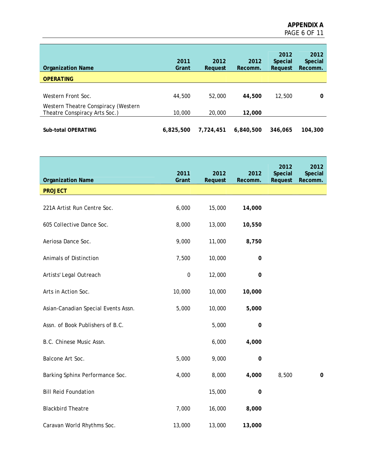| <b>Organization Name</b>                                             | 2011<br>Grant | 2012<br>Reauest | 2012<br>Recomm. | 2012<br><b>Special</b><br>Request | 2012<br><b>Special</b><br>Recomm. |
|----------------------------------------------------------------------|---------------|-----------------|-----------------|-----------------------------------|-----------------------------------|
| <b>OPERATING</b>                                                     |               |                 |                 |                                   |                                   |
| Western Front Soc.                                                   | 44,500        | 52,000          | 44,500          | 12,500                            | 0                                 |
| Western Theatre Conspiracy (Western<br>Theatre Conspiracy Arts Soc.) | 10,000        | 20,000          | 12,000          |                                   |                                   |
| Sub-total OPERATING                                                  | 6,825,500     | 7.724.451       | 6,840,500       | 346,065                           | 104,300                           |

| <b>Organization Name</b>            | 2011<br>Grant | 2012<br>Request | 2012<br>Recomm. | 2012<br>Special<br>Request | 2012<br>Special<br>Recomm. |
|-------------------------------------|---------------|-----------------|-----------------|----------------------------|----------------------------|
| <b>PROJECT</b>                      |               |                 |                 |                            |                            |
| 221A Artist Run Centre Soc.         | 6,000         | 15,000          | 14,000          |                            |                            |
| 605 Collective Dance Soc.           | 8,000         | 13,000          | 10,550          |                            |                            |
| Aeriosa Dance Soc.                  | 9,000         | 11,000          | 8,750           |                            |                            |
| Animals of Distinction              | 7,500         | 10,000          | $\pmb{0}$       |                            |                            |
| Artists' Legal Outreach             | $\pmb{0}$     | 12,000          | $\pmb{0}$       |                            |                            |
| Arts in Action Soc.                 | 10,000        | 10,000          | 10,000          |                            |                            |
| Asian-Canadian Special Events Assn. | 5,000         | 10,000          | 5,000           |                            |                            |
| Assn. of Book Publishers of B.C.    |               | 5,000           | $\mathbf 0$     |                            |                            |
| B.C. Chinese Music Assn.            |               | 6,000           | 4,000           |                            |                            |
| Balcone Art Soc.                    | 5,000         | 9,000           | $\mathbf 0$     |                            |                            |
| Barking Sphinx Performance Soc.     | 4,000         | 8,000           | 4,000           | 8,500                      | $\mathbf 0$                |
| <b>Bill Reid Foundation</b>         |               | 15,000          | 0               |                            |                            |
| <b>Blackbird Theatre</b>            | 7,000         | 16,000          | 8,000           |                            |                            |
| Caravan World Rhythms Soc.          | 13,000        | 13,000          | 13,000          |                            |                            |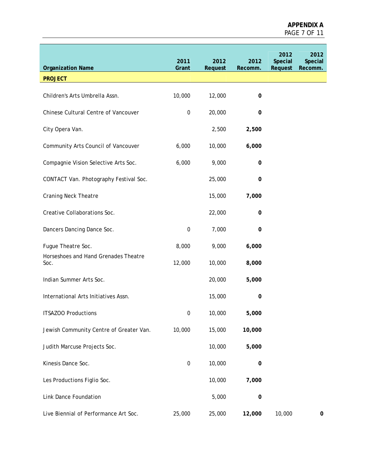| <b>Organization Name</b>                     | 2011<br>Grant    | 2012<br>Request | 2012<br>Recomm. | 2012<br>Special<br>Request | 2012<br>Special<br>Recomm. |
|----------------------------------------------|------------------|-----------------|-----------------|----------------------------|----------------------------|
| <b>PROJECT</b>                               |                  |                 |                 |                            |                            |
| Children's Arts Umbrella Assn.               | 10,000           | 12,000          | 0               |                            |                            |
| Chinese Cultural Centre of Vancouver         | $\boldsymbol{0}$ | 20,000          | $\pmb{0}$       |                            |                            |
| City Opera Van.                              |                  | 2,500           | 2,500           |                            |                            |
| Community Arts Council of Vancouver          | 6,000            | 10,000          | 6,000           |                            |                            |
| Compagnie Vision Selective Arts Soc.         | 6,000            | 9,000           | $\pmb{0}$       |                            |                            |
| CONTACT Van. Photography Festival Soc.       |                  | 25,000          | 0               |                            |                            |
| <b>Craning Neck Theatre</b>                  |                  | 15,000          | 7,000           |                            |                            |
| Creative Collaborations Soc.                 |                  | 22,000          | 0               |                            |                            |
| Dancers Dancing Dance Soc.                   | $\boldsymbol{0}$ | 7,000           | 0               |                            |                            |
| Fugue Theatre Soc.                           | 8,000            | 9,000           | 6,000           |                            |                            |
| Horseshoes and Hand Grenades Theatre<br>Soc. | 12,000           | 10,000          | 8,000           |                            |                            |
| Indian Summer Arts Soc.                      |                  | 20,000          | 5,000           |                            |                            |
| International Arts Initiatives Assn.         |                  | 15,000          | 0               |                            |                            |
| <b>ITSAZOO Productions</b>                   | 0                | 10,000          | 5,000           |                            |                            |
| Jewish Community Centre of Greater Van.      | 10,000           | 15,000          | 10,000          |                            |                            |
| Judith Marcuse Projects Soc.                 |                  | 10,000          | 5,000           |                            |                            |
| Kinesis Dance Soc.                           | $\boldsymbol{0}$ | 10,000          | $\pmb{0}$       |                            |                            |
| Les Productions Figlio Soc.                  |                  | 10,000          | 7,000           |                            |                            |
| Link Dance Foundation                        |                  | 5,000           | $\pmb{0}$       |                            |                            |
| Live Biennial of Performance Art Soc.        | 25,000           | 25,000          | 12,000          | 10,000                     | 0                          |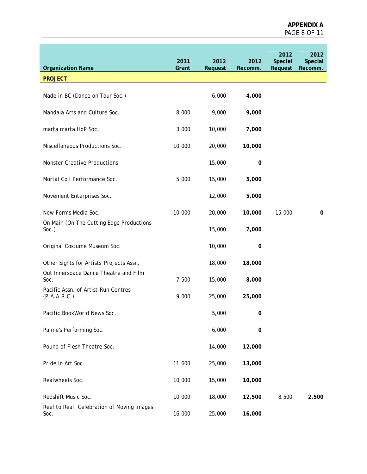| <b>Organization Name</b>                             | 2011<br>Grant | 2012<br>Request | 2012<br>Recomm. | 2012<br>Special<br>Request | 2012<br>Special<br>Recomm. |
|------------------------------------------------------|---------------|-----------------|-----------------|----------------------------|----------------------------|
| <b>PROJECT</b>                                       |               |                 |                 |                            |                            |
| Made in BC (Dance on Tour Soc.)                      |               | 6,000           | 4,000           |                            |                            |
| Mandala Arts and Culture Soc.                        | 8,000         | 9,000           | 9,000           |                            |                            |
| marta marta HoP Soc.                                 | 3,000         | 10,000          | 7,000           |                            |                            |
| Miscellaneous Productions Soc.                       | 10,000        | 20,000          | 10,000          |                            |                            |
| <b>Monster Creative Productions</b>                  |               | 15,000          | $\pmb{0}$       |                            |                            |
| Mortal Coil Performance Soc.                         | 5,000         | 15,000          | 5,000           |                            |                            |
| Movement Enterprises Soc.                            |               | 12,000          | 5,000           |                            |                            |
| New Forms Media Soc.                                 | 10,000        | 20,000          | 10,000          | 15,000                     | 0                          |
| On Main (On The Cutting Edge Productions<br>$Soc.$ ) |               | 15,000          | 7,000           |                            |                            |
| Original Costume Museum Soc.                         |               | 10,000          | $\pmb{0}$       |                            |                            |
| Other Sights for Artists' Projects Assn.             |               | 18,000          | 18,000          |                            |                            |
| Out Innerspace Dance Theatre and Film<br>Soc.        | 7,500         | 15,000          | 8,000           |                            |                            |
| Pacific Assn. of Artist-Run Centres<br>(P.A.A.R.C.)  | 9,000         | 25,000          | 25,000          |                            |                            |
| Pacific BookWorld News Soc.                          |               | 5,000           | 0               |                            |                            |
| Palme's Performing Soc.                              |               | 6,000           | $\pmb{0}$       |                            |                            |
| Pound of Flesh Theatre Soc.                          |               | 14,000          | 12,000          |                            |                            |
| Pride in Art Soc.                                    | 11,600        | 25,000          | 13,000          |                            |                            |
| Realwheels Soc.                                      | 10,000        | 15,000          | 10,000          |                            |                            |
| Redshift Music Soc.                                  | 10,000        | 18,000          | 12,500          | 8,500                      | 2,500                      |
| Reel to Real: Celebration of Moving Images<br>Soc.   | 16,000        | 25,000          | 16,000          |                            |                            |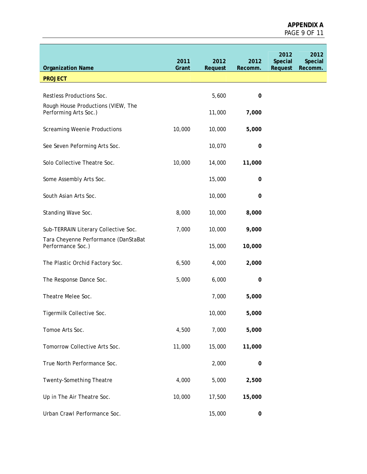| <b>Organization Name</b>                                    | 2011<br>Grant | 2012<br>Request | 2012<br>Recomm. | 2012<br>Special<br>Request | 2012<br>Special<br>Recomm. |
|-------------------------------------------------------------|---------------|-----------------|-----------------|----------------------------|----------------------------|
| <b>PROJECT</b>                                              |               |                 |                 |                            |                            |
|                                                             |               |                 |                 |                            |                            |
| Restless Productions Soc.                                   |               | 5,600           | 0               |                            |                            |
| Rough House Productions (VIEW, The<br>Performing Arts Soc.) |               | 11,000          | 7,000           |                            |                            |
| <b>Screaming Weenie Productions</b>                         | 10,000        | 10,000          | 5,000           |                            |                            |
| See Seven Peforming Arts Soc.                               |               | 10,070          | 0               |                            |                            |
| Solo Collective Theatre Soc.                                | 10,000        | 14,000          | 11,000          |                            |                            |
| Some Assembly Arts Soc.                                     |               | 15,000          | 0               |                            |                            |
| South Asian Arts Soc.                                       |               | 10,000          | 0               |                            |                            |
| Standing Wave Soc.                                          | 8,000         | 10,000          | 8,000           |                            |                            |
| Sub-TERRAIN Literary Collective Soc.                        | 7,000         | 10,000          | 9,000           |                            |                            |
| Tara Cheyenne Performance (DanStaBat<br>Performance Soc.)   |               | 15,000          | 10,000          |                            |                            |
| The Plastic Orchid Factory Soc.                             | 6,500         | 4,000           | 2,000           |                            |                            |
| The Response Dance Soc.                                     | 5,000         | 6,000           | 0               |                            |                            |
| Theatre Melee Soc.                                          |               | 7,000           | 5,000           |                            |                            |
| Tigermilk Collective Soc.                                   |               | 10,000          | 5,000           |                            |                            |
| Tomoe Arts Soc.                                             | 4,500         | 7,000           | 5,000           |                            |                            |
| Tomorrow Collective Arts Soc.                               | 11,000        | 15,000          | 11,000          |                            |                            |
| True North Performance Soc.                                 |               | 2,000           | 0               |                            |                            |
| Twenty-Something Theatre                                    | 4,000         | 5,000           | 2,500           |                            |                            |
| Up in The Air Theatre Soc.                                  | 10,000        | 17,500          | 15,000          |                            |                            |
| Urban Crawl Performance Soc.                                |               | 15,000          | $\mathbf 0$     |                            |                            |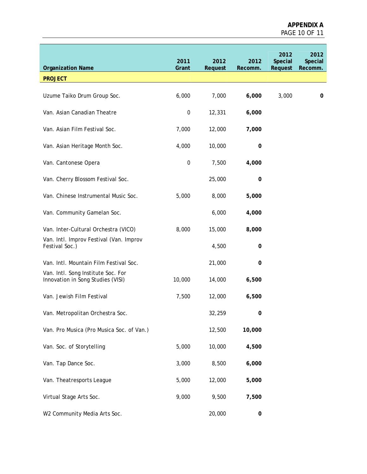| <b>Organization Name</b>                                                | 2011<br>Grant    | 2012<br>Request | 2012<br>Recomm. | 2012<br>Special<br>Request | 2012<br>Special<br>Recomm. |
|-------------------------------------------------------------------------|------------------|-----------------|-----------------|----------------------------|----------------------------|
| <b>PROJECT</b>                                                          |                  |                 |                 |                            |                            |
|                                                                         |                  |                 |                 |                            |                            |
| Uzume Taiko Drum Group Soc.                                             | 6,000            | 7,000           | 6,000           | 3,000                      | 0                          |
| Van. Asian Canadian Theatre                                             | $\pmb{0}$        | 12,331          | 6,000           |                            |                            |
| Van. Asian Film Festival Soc.                                           | 7,000            | 12,000          | 7,000           |                            |                            |
| Van. Asian Heritage Month Soc.                                          | 4,000            | 10,000          | 0               |                            |                            |
| Van. Cantonese Opera                                                    | $\boldsymbol{0}$ | 7,500           | 4,000           |                            |                            |
| Van. Cherry Blossom Festival Soc.                                       |                  | 25,000          | 0               |                            |                            |
| Van. Chinese Instrumental Music Soc.                                    | 5,000            | 8,000           | 5,000           |                            |                            |
| Van. Community Gamelan Soc.                                             |                  | 6,000           | 4,000           |                            |                            |
| Van. Inter-Cultural Orchestra (VICO)                                    | 8,000            | 15,000          | 8,000           |                            |                            |
| Van. Intl. Improv Festival (Van. Improv<br>Festival Soc.)               |                  | 4,500           | 0               |                            |                            |
| Van. Intl. Mountain Film Festival Soc.                                  |                  | 21,000          | 0               |                            |                            |
| Van. Intl. Song Institute Soc. For<br>Innovation in Song Studies (VISI) | 10,000           | 14,000          | 6,500           |                            |                            |
| Van. Jewish Film Festival                                               | 7,500            | 12,000          | 6,500           |                            |                            |
| Van. Metropolitan Orchestra Soc.                                        |                  | 32,259          | 0               |                            |                            |
| Van. Pro Musica (Pro Musica Soc. of Van.)                               |                  | 12,500          | 10,000          |                            |                            |
| Van. Soc. of Storytelling                                               | 5,000            | 10,000          | 4,500           |                            |                            |
| Van. Tap Dance Soc.                                                     | 3,000            | 8,500           | 6,000           |                            |                            |
| Van. Theatresports League                                               | 5,000            | 12,000          | 5,000           |                            |                            |
| Virtual Stage Arts Soc.                                                 | 9,000            | 9,500           | 7,500           |                            |                            |
| W2 Community Media Arts Soc.                                            |                  | 20,000          | $\pmb{0}$       |                            |                            |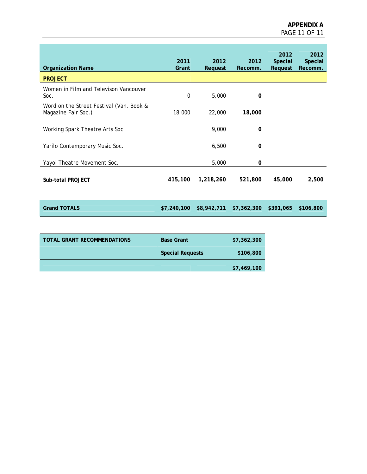| <b>Organization Name</b><br><b>PROJECT</b>                      | 2011<br>Grant | 2012<br>Request | 2012<br>Recomm. | 2012<br>Special<br>Request | 2012<br>Special<br>Recomm. |
|-----------------------------------------------------------------|---------------|-----------------|-----------------|----------------------------|----------------------------|
| Women in Film and Televison Vancouver                           |               |                 |                 |                            |                            |
| Soc.                                                            | $\mathbf 0$   | 5,000           | 0               |                            |                            |
| Word on the Street Festival (Van. Book &<br>Magazine Fair Soc.) | 18,000        | 22,000          | 18,000          |                            |                            |
| Working Spark Theatre Arts Soc.                                 |               | 9,000           | 0               |                            |                            |
| Yarilo Contemporary Music Soc.                                  |               | 6,500           | $\Omega$        |                            |                            |
| Yayoi Theatre Movement Soc.                                     |               | 5,000           | 0               |                            |                            |
| Sub-total PROJECT                                               | 415,100       | 1,218,260       | 521,800         | 45,000                     | 2,500                      |
| <b>Grand TOTALS</b>                                             | \$7,240,100   | \$8,942,711     | \$7,362,300     | \$391,065                  | \$106,800                  |
|                                                                 |               |                 |                 |                            |                            |

| <b>TOTAL GRANT RECOMMENDATIONS</b> | <b>Base Grant</b>       | \$7,362,300 |
|------------------------------------|-------------------------|-------------|
|                                    | <b>Special Requests</b> | \$106,800   |
|                                    |                         | \$7,469,100 |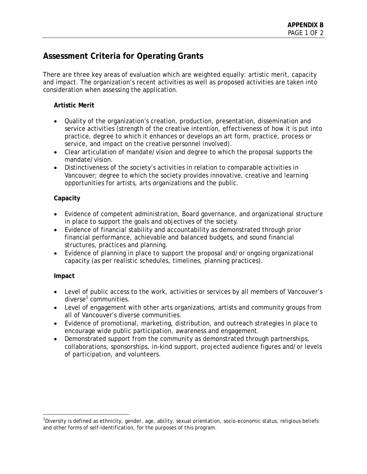# **Assessment Criteria for Operating Grants**

There are three key areas of evaluation which are weighted equally: artistic merit, capacity and impact. The organization's recent activities as well as proposed activities are taken into consideration when assessing the application.

### **Artistic Merit**

- Quality of the organization's creation, production, presentation, dissemination and service activities (strength of the creative intention, effectiveness of how it is put into practice, degree to which it enhances or develops an art form, practice, process or service, and impact on the creative personnel involved).
- Clear articulation of mandate/vision and degree to which the proposal supports the mandate/vision.
- Distinctiveness of the society's activities in relation to comparable activities in Vancouver; degree to which the society provides innovative, creative and learning opportunities for artists, arts organizations and the public.

### **Capacity**

- Evidence of competent administration, Board governance, and organizational structure in place to support the goals and objectives of the society.
- Evidence of financial stability and accountability as demonstrated through prior financial performance, achievable and balanced budgets, and sound financial structures, practices and planning.
- Evidence of planning in place to support the proposal and/or ongoing organizational capacity (as per realistic schedules, timelines, planning practices).

# **Impact**

-

- Level of public access to the work, activities or services by all members of Vancouver's diverse<sup>1</sup> communities.
- Level of engagement with other arts organizations, artists and community groups from all of Vancouver's diverse communities.
- Evidence of promotional, marketing, distribution, and outreach strategies in place to encourage wide public participation, awareness and engagement.
- Demonstrated support from the community as demonstrated through partnerships, collaborations, sponsorships, in-kind support, projected audience figures and/or levels of participation, and volunteers.

<sup>&</sup>lt;sup>1</sup>Diversity is defined as ethnicity, gender, age, ability, sexual orientation, socio-economic status, religious beliefs and other forms of self-identification, for the purposes of this program.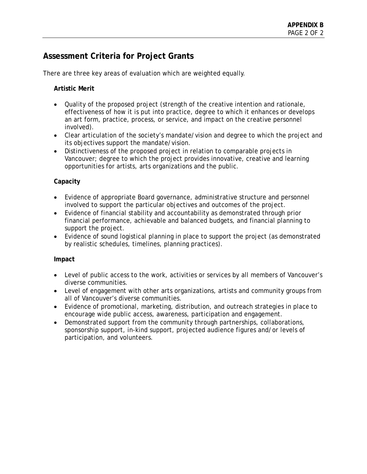# **Assessment Criteria for Project Grants**

There are three key areas of evaluation which are weighted equally.

# **Artistic Merit**

- Quality of the proposed project (strength of the creative intention and rationale, effectiveness of how it is put into practice, degree to which it enhances or develops an art form, practice, process, or service, and impact on the creative personnel involved).
- Clear articulation of the society's mandate/vision and degree to which the project and its objectives support the mandate/vision.
- Distinctiveness of the proposed project in relation to comparable projects in Vancouver; degree to which the project provides innovative, creative and learning opportunities for artists, arts organizations and the public.

# **Capacity**

- Evidence of appropriate Board governance, administrative structure and personnel involved to support the particular objectives and outcomes of the project.
- Evidence of financial stability and accountability as demonstrated through prior financial performance, achievable and balanced budgets, and financial planning to support the project.
- Evidence of sound logistical planning in place to support the project (as demonstrated by realistic schedules, timelines, planning practices).

### **Impact**

- Level of public access to the work, activities or services by all members of Vancouver's diverse communities.
- Level of engagement with other arts organizations, artists and community groups from all of Vancouver's diverse communities.
- Evidence of promotional, marketing, distribution, and outreach strategies in place to encourage wide public access, awareness, participation and engagement.
- Demonstrated support from the community through partnerships, collaborations, sponsorship support, in-kind support, projected audience figures and/or levels of participation, and volunteers.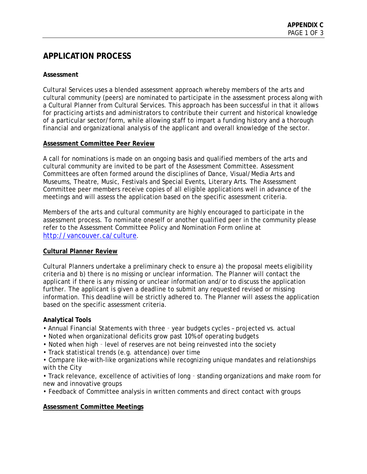# **APPLICATION PROCESS**

### **Assessment**

Cultural Services uses a blended assessment approach whereby members of the arts and cultural community (peers) are nominated to participate in the assessment process along with a Cultural Planner from Cultural Services. This approach has been successful in that it allows for practicing artists and administrators to contribute their current and historical knowledge of a particular sector/form, while allowing staff to impart a funding history and a thorough financial and organizational analysis of the applicant and overall knowledge of the sector.

### **Assessment Committee Peer Review**

A call for nominations is made on an ongoing basis and qualified members of the arts and cultural community are invited to be part of the Assessment Committee. Assessment Committees are often formed around the disciplines of Dance, Visual/Media Arts and Museums, Theatre, Music, Festivals and Special Events, Literary Arts. The Assessment Committee peer members receive copies of all eligible applications well in advance of the meetings and will assess the application based on the specific assessment criteria.

Members of the arts and cultural community are highly encouraged to participate in the assessment process. To nominate oneself or another qualified peer in the community please refer to the Assessment Committee Policy and Nomination Form online at http://vancouver.ca/culture.

### **Cultural Planner Review**

Cultural Planners undertake a preliminary check to ensure a) the proposal meets eligibility criteria and b) there is no missing or unclear information. The Planner will contact the applicant if there is any missing or unclear information and/or to discuss the application further. The applicant is given a deadline to submit any requested revised or missing information. This deadline will be strictly adhered to. The Planner will assess the application based on the specific assessment criteria.

### **Analytical Tools**

- Annual Financial Statements with three year budgets cycles projected vs. actual
- Noted when organizational deficits grow past 10% of operating budgets
- Noted when high level of reserves are not being reinvested into the society
- Track statistical trends (e.g. attendance) over time
- Compare like-with-like organizations while recognizing unique mandates and relationships with the City

• Track relevance, excellence of activities of long - standing organizations and make room for new and innovative groups

• Feedback of Committee analysis in written comments and direct contact with groups

### **Assessment Committee Meetings**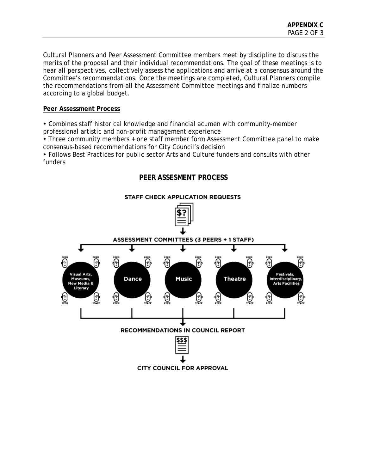Cultural Planners and Peer Assessment Committee members meet by discipline to discuss the merits of the proposal and their individual recommendations. The goal of these meetings is to hear all perspectives, collectively assess the applications and arrive at a consensus around the Committee's recommendations. Once the meetings are completed, Cultural Planners compile the recommendations from all the Assessment Committee meetings and finalize numbers according to a global budget.

### **Peer Assessment Process**

• Combines staff historical knowledge and financial acumen with community-member professional artistic and non-profit management experience

• Three community members + one staff member form Assessment Committee panel to make consensus-based recommendations for City Council's decision

**PEER ASSESMENT PROCESS** 

• Follows Best Practices for public sector Arts and Culture funders and consults with other funders